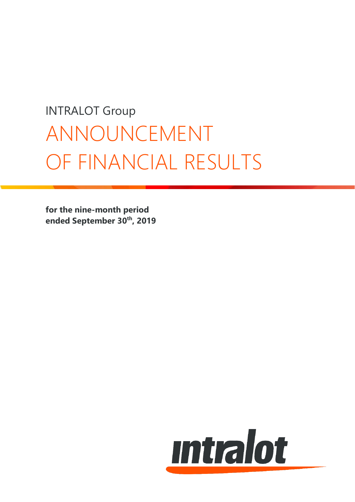# INTRALOT Group ANNOUNCEMENT OF FINANCIAL RESULTS

**for the nine-month period ended September 30 th, 2019**

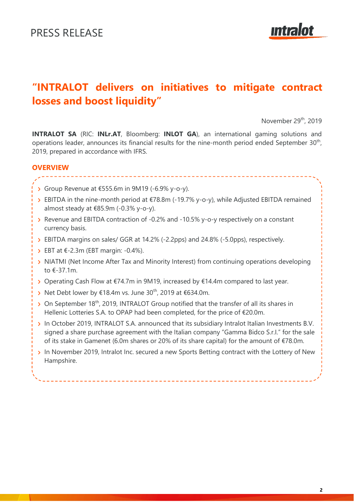# **Intralot**

# **"INTRALOT delivers on initiatives to mitigate contract losses and boost liquidity"**

November 29<sup>th</sup>, 2019

**INTRALOT SA** (RIC: **INLr.AT**, Bloomberg: **INLOT GA**), an international gaming solutions and operations leader, announces its financial results for the nine-month period ended September  $30<sup>th</sup>$ , 2019, prepared in accordance with IFRS.

# **OVERVIEW**

- Group Revenue at €555.6m in 9M19 (-6.9% y-o-y).
- EBITDA in the nine-month period at €78.8m (-19.7% y-o-y), while Adjusted EBITDA remained almost steady at  $€85.9m (-0.3\% y-o-y).$
- Revenue and EBITDA contraction of -0.2% and -10.5% y-o-y respectively on a constant currency basis.
- EBITDA margins on sales/ GGR at 14.2% (-2.2pps) and 24.8% (-5.0pps), respectively.
- $\triangleright$  EBT at  $\epsilon$ -2.3m (EBT margin: -0.4%).
- > NIATMI (Net Income After Tax and Minority Interest) from continuing operations developing to €-37.1m.
- > Operating Cash Flow at €74.7m in 9M19, increased by €14.4m compared to last year.
- > Net Debt lower by €18.4m vs. June 30<sup>th</sup>, 2019 at €634.0m.
- > On September 18<sup>th</sup>, 2019, INTRALOT Group notified that the transfer of all its shares in Hellenic Lotteries S.A. to OPAP had been completed, for the price of €20.0m.
- > In October 2019, INTRALOT S.A. announced that its subsidiary Intralot Italian Investments B.V. signed a share purchase agreement with the Italian company "Gamma Bidco S.r.I." for the sale of its stake in Gamenet (6.0m shares or 20% of its share capital) for the amount of €78.0m.
- > In November 2019, Intralot Inc. secured a new Sports Betting contract with the Lottery of New Hampshire.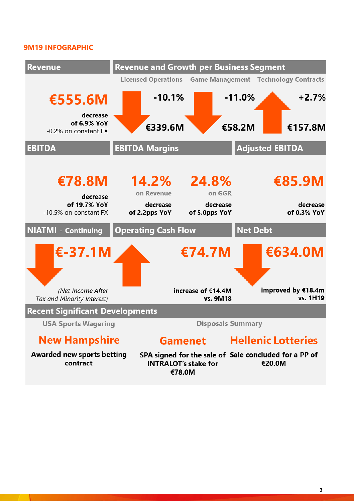# **9M19 INFOGRAPHIC**



**3**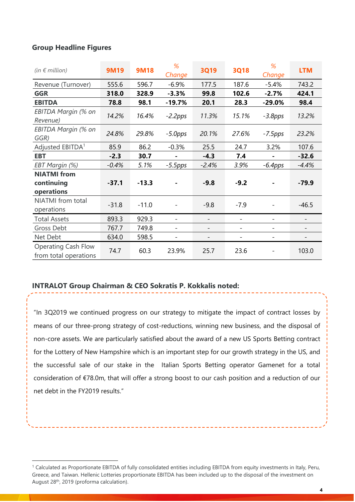# **Group Headline Figures**

| (in $\notin$ million)                               | <b>9M19</b> | <b>9M18</b> | %<br>Change              | <b>3Q19</b>              | <b>3Q18</b>              | %<br>Change              | <b>LTM</b>               |
|-----------------------------------------------------|-------------|-------------|--------------------------|--------------------------|--------------------------|--------------------------|--------------------------|
| Revenue (Turnover)                                  | 555.6       | 596.7       | $-6.9%$                  | 177.5                    | 187.6                    | $-5.4%$                  | 743.2                    |
| <b>GGR</b>                                          | 318.0       | 328.9       | $-3.3%$                  | 99.8                     | 102.6                    | $-2.7%$                  | 424.1                    |
| <b>EBITDA</b>                                       | 78.8        | 98.1        | $-19.7%$                 | 20.1                     | 28.3                     | $-29.0%$                 | 98.4                     |
| EBITDA Margin (% on<br>Revenue)                     | 14.2%       | 16.4%       | $-2.2$ pps               | 11.3%                    | 15.1%                    | $-3.8$ pps               | 13.2%                    |
| EBITDA Margin (% on<br>GGR)                         | 24.8%       | 29.8%       | $-5.0$ pps               | 20.1%                    | 27.6%                    | $-7.5$ pps               | 23.2%                    |
| Adjusted EBITDA <sup>1</sup>                        | 85.9        | 86.2        | $-0.3%$                  | 25.5                     | 24.7                     | 3.2%                     | 107.6                    |
| <b>EBT</b>                                          | $-2.3$      | 30.7        |                          | $-4.3$                   | 7.4                      |                          | $-32.6$                  |
| EBT Margin (%)                                      | $-0.4%$     | 5.1%        | $-5.5$ pps               | $-2.4%$                  | 3.9%                     | $-6.4$ pps               | $-4.4%$                  |
| <b>NIATMI</b> from                                  |             |             |                          |                          |                          |                          |                          |
| continuing                                          | $-37.1$     | $-13.3$     |                          | $-9.8$                   | $-9.2$                   |                          | $-79.9$                  |
| operations                                          |             |             |                          |                          |                          |                          |                          |
| NIATMI from total<br>operations                     | $-31.8$     | $-11.0$     |                          | $-9.8$                   | $-7.9$                   |                          | $-46.5$                  |
| <b>Total Assets</b>                                 | 893.3       | 929.3       | $\overline{\phantom{a}}$ | $\overline{\phantom{a}}$ | $\overline{\phantom{0}}$ | $\overline{\phantom{a}}$ | $\overline{\phantom{a}}$ |
| Gross Debt                                          | 767.7       | 749.8       |                          |                          |                          |                          |                          |
| Net Debt                                            | 634.0       | 598.5       | $\overline{\phantom{a}}$ | $\overline{\phantom{a}}$ | $\overline{\phantom{0}}$ | $\overline{\phantom{a}}$ | $\overline{\phantom{a}}$ |
| <b>Operating Cash Flow</b><br>from total operations | 74.7        | 60.3        | 23.9%                    | 25.7                     | 23.6                     |                          | 103.0                    |

# **INTRALOT Group Chairman & CEO Sokratis P. Kokkalis noted:**

"In 3Q2019 we continued progress on our strategy to mitigate the impact of contract losses by means of our three-prong strategy of cost-reductions, winning new business, and the disposal of non-core assets. We are particularly satisfied about the award of a new US Sports Betting contract for the Lottery of New Hampshire which is an important step for our growth strategy in the US, and the successful sale of our stake in the Italian Sports Betting operator Gamenet for a total consideration of €78.0m, that will offer a strong boost to our cash position and a reduction of our net debt in the FY2019 results."

<sup>&</sup>lt;sup>1</sup> Calculated as Proportionate EBITDA of fully consolidated entities including EBITDA from equity investments in Italy, Peru, Greece, and Taiwan. Hellenic Lotteries proportionate EBITDA has been included up to the disposal of the investment on August 28<sup>th</sup>, 2019 (proforma calculation).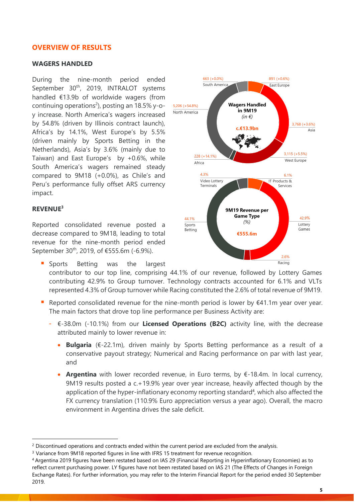# **OVERVIEW OF RESULTS**

#### **WAGERS HANDLED**

During the nine-month period ended September 30<sup>th</sup>, 2019, INTRALOT systems handled €13.9b of worldwide wagers (from continuing operations<sup>2</sup>), posting an 18.5% y-oy increase. North America's wagers increased by 54.8% (driven by Illinois contract launch), Africa's by 14.1%, West Europe's by 5.5% (driven mainly by Sports Betting in the Netherlands), Asia's by 3.6% (mainly due to Taiwan) and East Europe's by +0.6%, while South America's wagers remained steady compared to 9M18 (+0.0%), as Chile's and Peru's performance fully offset ARS currency impact.

#### **REVENUE<sup>3</sup>**

Reported consolidated revenue posted a decrease compared to 9M18, leading to total revenue for the nine-month period ended September 30<sup>th</sup>, 2019, of €555.6m (-6.9%).

- **E** Sports Betting was the largest contributor to our top line, comprising 44.1% of our revenue, followed by Lottery Games contributing 42.9% to Group turnover. Technology contracts accounted for 6.1% and VLTs represented 4.3% of Group turnover while Racing constituted the 2.6% of total revenue of 9M19.
- Reported consolidated revenue for the nine-month period is lower by  $\epsilon$ 41.1m year over year. The main factors that drove top line performance per Business Activity are:
	- €-38.0m (-10.1%) from our **Licensed Operations (B2C)** activity line, with the decrease attributed mainly to lower revenue in:
		- **Bulgaria** (€-22.1m), driven mainly by Sports Betting performance as a result of a conservative payout strategy; Numerical and Racing performance on par with last year, and
		- **Argentina** with lower recorded revenue, in Euro terms, by €-18.4m. In local currency, 9M19 results posted a c.+19.9% year over year increase, heavily affected though by the application of the hyper-inflationary economy reporting standard<sup>4</sup>, which also affected the FX currency translation (110.9% Euro appreciation versus a year ago). Overall, the macro environment in Argentina drives the sale deficit.



<sup>&</sup>lt;sup>2</sup> Discontinued operations and contracts ended within the current period are excluded from the analysis.

<sup>&</sup>lt;sup>3</sup> Variance from 9M18 reported figures in line with IFRS 15 treatment for revenue recognition.

<sup>4</sup> Argentina 2019 figures have been restated based on IAS 29 (Financial Reporting in Hyperinflationary Economies) as to reflect current purchasing power. LY figures have not been restated based on IAS 21 (The Effects of Changes in Foreign Exchange Rates). For further information, you may refer to the Interim Financial Report for the period ended 30 September 2019.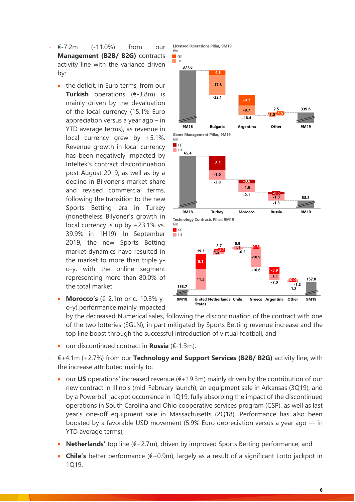- €-7.2m (-11.0%) from our **Management (B2B/ B2G)** contracts activity line with the variance driven by:
	- the deficit, in Euro terms, from our **Turkish** operations (€-3.8m) is mainly driven by the devaluation of the local currency (15.1% Euro appreciation versus a year ago – in YTD average terms), as revenue in local currency grew by +5.1%. Revenue growth in local currency has been negatively impacted by Inteltek's contract discontinuation post August 2019, as well as by a decline in Bilyoner's market share and revised commercial terms, following the transition to the new Sports Betting era in Turkey (nonetheless Bilyoner's growth in local currency is up by +23.1% vs. 39.9% in 1H19). In September 2019, the new Sports Betting market dynamics have resulted in the market to more than triple yo-y, with the online segment representing more than 80.0% of the total market
	- **Morocco's** (€-2.1m or c.-10.3% yo-y) performance mainly impacted



by the decreased Numerical sales, following the discontinuation of the contract with one of the two lotteries (SGLN), in part mitigated by Sports Betting revenue increase and the top line boost through the successful introduction of virtual football, and

**States** 

Licensed Operations Pillar, 9M19

- our discontinued contract in **Russia** (€-1.3m).
- €+4.1m (+2.7%) from our **Technology and Support Services (B2B/ B2G)** activity line, with the increase attributed mainly to:
	- our **US** operations' increased revenue (€+19.3m) mainly driven by the contribution of our new contract in Illinois (mid-February launch), an equipment sale in Arkansas (3Q19), and by a Powerball jackpot occurrence in 1Q19, fully absorbing the impact of the discontinued operations in South Carolina and Ohio cooperative services program (CSP), as well as last year's one-off equipment sale in Massachusetts (2Q18). Performance has also been boosted by a favorable USD movement (5.9% Euro depreciation versus a year ago — in YTD average terms),
	- **Netherlands'** top line (€+2.7m), driven by improved Sports Betting performance, and
	- **Chile's** better performance (€+0.9m), largely as a result of a significant Lotto jackpot in 1Q19.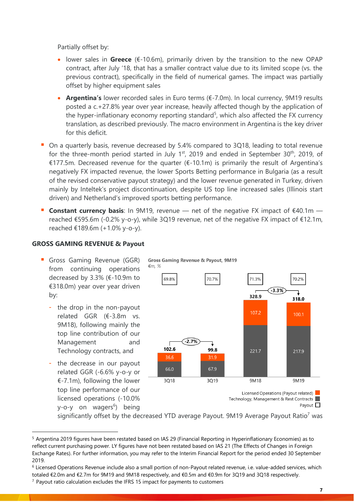Partially offset by:

- lower sales in **Greece** (€-10.6m), primarily driven by the transition to the new OPAP contract, after July '18, that has a smaller contract value due to its limited scope (vs. the previous contract), specifically in the field of numerical games. The impact was partially offset by higher equipment sales
- **Argentina's** lower recorded sales in Euro terms (€-7.0m). In local currency, 9M19 results posted a c.+27.8% year over year increase, heavily affected though by the application of the hyper-inflationary economy reporting standard<sup>5</sup>, which also affected the FX currency translation, as described previously. The macro environment in Argentina is the key driver for this deficit.
- On a quarterly basis, revenue decreased by 5.4% compared to 3Q18, leading to total revenue for the three-month period started in July  $1<sup>st</sup>$ , 2019 and ended in September 30<sup>th</sup>, 2019, of €177.5m. Decreased revenue for the quarter (€-10.1m) is primarily the result of Argentina's negatively FX impacted revenue, the lower Sports Betting performance in Bulgaria (as a result of the revised conservative payout strategy) and the lower revenue generated in Turkey, driven mainly by Inteltek's project discontinuation, despite US top line increased sales (Illinois start driven) and Netherland's improved sports betting performance.
- **Constant currency basis**: In 9M19, revenue net of the negative FX impact of €40.1m reached €595.6m (-0.2% y-o-y), while 3Q19 revenue, net of the negative FX impact of €12.1m, reached €189.6m (+1.0% y-o-y).

**Gross Gaming Revenue & Payout, 9M19** 

# **GROSS GAMING REVENUE & Payout**

- **Gross Gaming Revenue (GGR)** from continuing operations decreased by 3.3% (€-10.9m to €318.0m) year over year driven by:
	- the drop in the non-payout related GGR (€-3.8m vs. 9M18), following mainly the top line contribution of our Management and Technology contracts, and
	- the decrease in our payout related GGR (-6.6% y-o-y or €-7.1m), following the lower top line performance of our licensed operations (-10.0% y-o-y on wagers<sup>6</sup>) being



significantly offset by the decreased YTD average Payout. 9M19 Average Payout Ratio<sup>7</sup> was

<sup>5</sup> Argentina 2019 figures have been restated based on IAS 29 (Financial Reporting in Hyperinflationary Economies) as to reflect current purchasing power. LY figures have not been restated based on IAS 21 (The Effects of Changes in Foreign Exchange Rates). For further information, you may refer to the Interim Financial Report for the period ended 30 September 2019.

<sup>6</sup> Licensed Operations Revenue include also a small portion of non-Payout related revenue, i.e. value-added services, which totaled €2.0m and €2.7m for 9M19 and 9M18 respectively, and €0.5m and €0.9m for 3Q19 and 3Q18 respectively.

 $7$  Payout ratio calculation excludes the IFRS 15 impact for payments to customers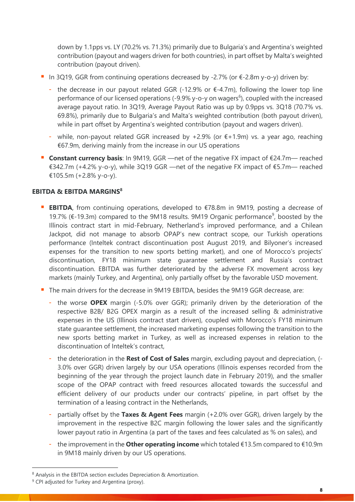down by 1.1pps vs. LY (70.2% vs. 71.3%) primarily due to Bulgaria's and Argentina's weighted contribution (payout and wagers driven for both countries), in part offset by Malta's weighted contribution (payout driven).

- In 3Q19, GGR from continuing operations decreased by -2.7% (or  $\epsilon$ -2.8m y-o-y) driven by:
	- the decrease in our payout related GGR (-12.9% or  $\epsilon$ -4.7m), following the lower top line performance of our licensed operations (-9.9% y-o-y on wagers<sup>6</sup>), coupled with the increased average payout ratio. In 3Q19, Average Payout Ratio was up by 0.9pps vs. 3Q18 (70.7% vs. 69.8%), primarily due to Bulgaria's and Malta's weighted contribution (both payout driven), while in part offset by Argentina's weighted contribution (payout and wagers driven).
	- while, non-payout related GGR increased by  $+2.9\%$  (or  $\epsilon$ +1.9m) vs. a year ago, reaching €67.9m, deriving mainly from the increase in our US operations
- **Constant currency basis**: In 9M19, GGR —net of the negative FX impact of €24.7m— reached €342.7m (+4.2% y-o-y), while 3Q19 GGR —net of the negative FX impact of €5.7m— reached €105.5m (+2.8% y-o-y).

# **EBITDA & EBITDA MARGINS<sup>8</sup>**

- **EBITDA**, from continuing operations, developed to €78.8m in 9M19, posting a decrease of 19.7% (€-19.3m) compared to the 9M18 results. 9M19 Organic performance<sup>9</sup>, boosted by the Illinois contract start in mid-February, Netherland's improved performance, and a Chilean Jackpot, did not manage to absorb OPAP's new contract scope, our Turkish operations performance (Inteltek contract discontinuation post August 2019, and Bilyoner's increased expenses for the transition to new sports betting market), and one of Morocco's projects' discontinuation, FY18 minimum state guarantee settlement and Russia's contract discontinuation. EBITDA was further deteriorated by the adverse FX movement across key markets (mainly Turkey, and Argentina), only partially offset by the favorable USD movement.
- The main drivers for the decrease in 9M19 EBITDA, besides the 9M19 GGR decrease, are:
	- the worse **OPEX** margin (-5.0% over GGR); primarily driven by the deterioration of the respective B2B/ B2G OPEX margin as a result of the increased selling & administrative expenses in the US (Illinois contract start driven), coupled with Morocco's FY18 minimum state guarantee settlement, the increased marketing expenses following the transition to the new sports betting market in Turkey, as well as increased expenses in relation to the discontinuation of Inteltek's contract,
	- the deterioration in the **Rest of Cost of Sales** margin, excluding payout and depreciation, (- 3.0% over GGR) driven largely by our USA operations (Illinois expenses recorded from the beginning of the year through the project launch date in February 2019), and the smaller scope of the OPAP contract with freed resources allocated towards the successful and efficient delivery of our products under our contracts' pipeline, in part offset by the termination of a leasing contract in the Netherlands,
	- partially offset by the **Taxes & Agent Fees** margin (+2.0% over GGR), driven largely by the improvement in the respective B2C margin following the lower sales and the significantly lower payout ratio in Argentina (a part of the taxes and fees calculated as % on sales), and
	- the improvement in the **Other operating income** which totaled €13.5m compared to €10.9m in 9M18 mainly driven by our US operations.

<sup>8</sup> Analysis in the EBITDA section excludes Depreciation & Amortization.

<sup>&</sup>lt;sup>9</sup> CPI adjusted for Turkey and Argentina (proxy).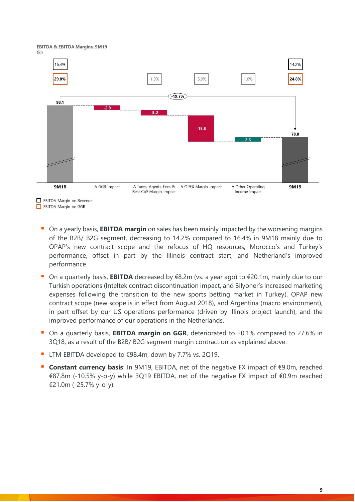



- On a yearly basis, **EBITDA margin** on sales has been mainly impacted by the worsening margins of the B2B/ B2G segment, decreasing to 14.2% compared to 16.4% in 9M18 mainly due to OPAP's new contract scope and the refocus of HQ resources, Morocco's and Turkey's performance, offset in part by the Illinois contract start, and Netherland's improved performance.
- On a quarterly basis, **EBITDA** decreased by €8.2m (vs. a year ago) to €20.1m, mainly due to our Turkish operations (Inteltek contract discontinuation impact, and Bilyoner's increased marketing expenses following the transition to the new sports betting market in Turkey), OPAP new contract scope (new scope is in effect from August 2018), and Argentina (macro environment), in part offset by our US operations performance (driven by Illinois project launch), and the improved performance of our operations in the Netherlands.
- On a quarterly basis, **EBITDA margin on GGR**, deteriorated to 20.1% compared to 27.6% in 3Q18, as a result of the B2B/ B2G segment margin contraction as explained above.
- LTM EBITDA developed to  $€98.4m$ , down by 7.7% vs. 2Q19.
- **Constant currency basis**: In 9M19, EBITDA, net of the negative FX impact of €9.0m, reached €87.8m (-10.5% y-o-y) while 3Q19 EBITDA, net of the negative FX impact of €0.9m reached €21.0m (-25.7% y-o-y).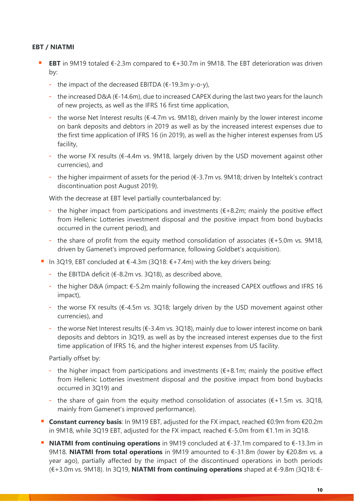# **EBT / NIATMI**

- **EBT** in 9M19 totaled  $\epsilon$ -2.3m compared to  $\epsilon$ +30.7m in 9M18. The EBT deterioration was driven by:
	- the impact of the decreased EBITDA  $(E-19.3m\ y-o-y)$ ,
	- the increased D&A (€-14.6m), due to increased CAPEX during the last two years for the launch of new projects, as well as the IFRS 16 first time application,
	- the worse Net Interest results ( $\epsilon$ -4.7m vs. 9M18), driven mainly by the lower interest income on bank deposits and debtors in 2019 as well as by the increased interest expenses due to the first time application of IFRS 16 (in 2019), as well as the higher interest expenses from US facility,
	- the worse FX results (€-4.4m vs. 9M18, largely driven by the USD movement against other currencies), and
	- the higher impairment of assets for the period  $(E-3.7m \text{ vs. } 9M18$ ; driven by Inteltek's contract discontinuation post August 2019).

With the decrease at EBT level partially counterbalanced by:

- the higher impact from participations and investments  $(E+8.2m)$ ; mainly the positive effect from Hellenic Lotteries investment disposal and the positive impact from bond buybacks occurred in the current period), and
- the share of profit from the equity method consolidation of associates ( $\epsilon$ +5.0m vs. 9M18, driven by Gamenet's improved performance, following Goldbet's acquisition).
- In 3Q19, EBT concluded at  $\epsilon$ -4.3m (3Q18:  $\epsilon$ +7.4m) with the key drivers being:
	- the EBITDA deficit ( $\epsilon$ -8.2m vs. 3Q18), as described above,
	- the higher D&A (impact: €-5.2m mainly following the increased CAPEX outflows and IFRS 16 impact),
	- the worse FX results ( $\epsilon$ -4.5m vs. 3Q18; largely driven by the USD movement against other currencies), and
	- the worse Net Interest results (€-3.4m vs. 3Q18), mainly due to lower interest income on bank deposits and debtors in 3Q19, as well as by the increased interest expenses due to the first time application of IFRS 16, and the higher interest expenses from US facility.

Partially offset by:

- the higher impact from participations and investments  $(E+8.1m)$ ; mainly the positive effect from Hellenic Lotteries investment disposal and the positive impact from bond buybacks occurred in 3Q19) and
- the share of gain from the equity method consolidation of associates ( $\epsilon$ +1.5m vs. 3Q18, mainly from Gamenet's improved performance).
- **Constant currency basis**: In 9M19 EBT, adjusted for the FX impact, reached €0.9m from €20.2m in 9M18, while 3Q19 EBT, adjusted for the FX impact, reached €-5.0m from €1.1m in 3Q18.
- **NIATMI from continuing operations** in 9M19 concluded at  $\epsilon$ -37.1m compared to  $\epsilon$ -13.3m in 9M18. **NIATMI from total operations** in 9M19 amounted to €-31.8m (lower by €20.8m vs. a year ago), partially affected by the impact of the discontinued operations in both periods (€+3.0m vs. 9M18). In 3Q19, **NIATMI from continuing operations** shaped at €-9.8m (3Q18: €-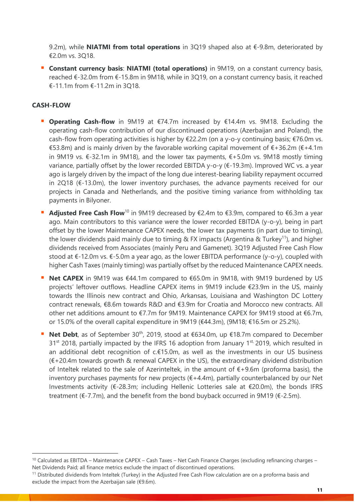9.2m), while **NIATMI from total operations** in 3Q19 shaped also at €-9.8m, deteriorated by €2.0m vs. 3Q18.

**E** Constant currency basis: NIATMI (total operations) in 9M19, on a constant currency basis, reached €-32.0m from €-15.8m in 9M18, while in 3Q19, on a constant currency basis, it reached €-11.1m from €-11.2m in 3Q18.

# **CASH-FLOW**

- **Operating Cash-flow** in 9M19 at €74.7m increased by €14.4m vs. 9M18. Excluding the operating cash-flow contribution of our discontinued operations (Azerbaijan and Poland), the cash-flow from operating activities is higher by €22.2m (on a y-o-y continuing basis; €76.0m vs. €53.8m) and is mainly driven by the favorable working capital movement of  $\epsilon$ +36.2m ( $\epsilon$ +4.1m in 9M19 vs. €-32.1m in 9M18), and the lower tax payments, €+5.0m vs. 9M18 mostly timing variance, partially offset by the lower recorded EBITDA y-o-y (€-19.3m). Improved WC vs. a year ago is largely driven by the impact of the long due interest-bearing liability repayment occurred in 2Q18 (€-13.0m), the lower inventory purchases, the advance payments received for our projects in Canada and Netherlands, and the positive timing variance from withholding tax payments in Bilyoner.
- **Adjusted Free Cash Flow**<sup>10</sup> in 9M19 decreased by €2.4m to €3.9m, compared to €6.3m a year ago. Main contributors to this variance were the lower recorded EBITDA (y-o-y), being in part offset by the lower Maintenance CAPEX needs, the lower tax payments (in part due to timing), the lower dividends paid mainly due to timing & FX impacts (Argentina & Turkey<sup>11</sup>), and higher dividends received from Associates (mainly Peru and Gamenet). 3Q19 Adjusted Free Cash Flow stood at €-12.0m vs. €-5.0m a year ago, as the lower EBITDA performance (y-o-y), coupled with higher Cash Taxes (mainly timing) was partially offset by the reduced Maintenance CAPEX needs.
- **Net CAPEX** in 9M19 was €44.1m compared to €65.0m in 9M18, with 9M19 burdened by US projects' leftover outflows. Headline CAPEX items in 9M19 include €23.9m in the US, mainly towards the Illinois new contract and Ohio, Arkansas, Louisiana and Washington DC Lottery contract renewals, €8.6m towards R&D and €3.9m for Croatia and Morocco new contracts. All other net additions amount to €7.7m for 9M19. Maintenance CAPEX for 9M19 stood at €6.7m, or 15.0% of the overall capital expenditure in 9M19 (€44.3m), (9M18; €16.5m or 25.2%).
- **Net Debt**, as of September 30<sup>th</sup>, 2019, stood at €634.0m, up €18.7m compared to December  $31<sup>st</sup>$  2018, partially impacted by the IFRS 16 adoption from January 1<sup>st,</sup> 2019, which resulted in an additional debt recognition of c.€15.0m, as well as the investments in our US business (€+20.4m towards growth & renewal CAPEX in the US), the extraordinary dividend distribution of Inteltek related to the sale of Azerinteltek, in the amount of  $E+9.6$ m (proforma basis), the inventory purchases payments for new projects  $(E+4.4m)$ , partially counterbalanced by our Net Investments activity (€-28.3m; including Hellenic Lotteries sale at €20.0m), the bonds IFRS treatment ( $\epsilon$ -7.7m), and the benefit from the bond buyback occurred in 9M19 ( $\epsilon$ -2.5m).

<sup>10</sup> Calculated as EBITDA – Maintenance CAPEX – Cash Taxes – Net Cash Finance Charges (excluding refinancing charges – Net Dividends Paid; all finance metrics exclude the impact of discontinued operations.

<sup>&</sup>lt;sup>11</sup> Distributed dividends from Inteltek (Turkey) in the Adjusted Free Cash Flow calculation are on a proforma basis and exclude the impact from the Azerbaijan sale (€9.6m).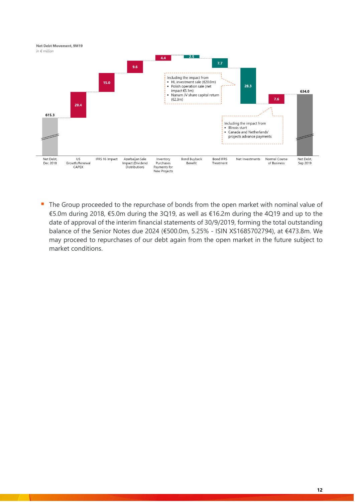

■ The Group proceeded to the repurchase of bonds from the open market with nominal value of €5.0m during 2018, €5.0m during the 3Q19, as well as €16.2m during the 4Q19 and up to the date of approval of the interim financial statements of 30/9/2019, forming the total outstanding balance of the Senior Notes due 2024 (€500.0m, 5.25% - ISIN XS1685702794), at €473.8m. We may proceed to repurchases of our debt again from the open market in the future subject to market conditions.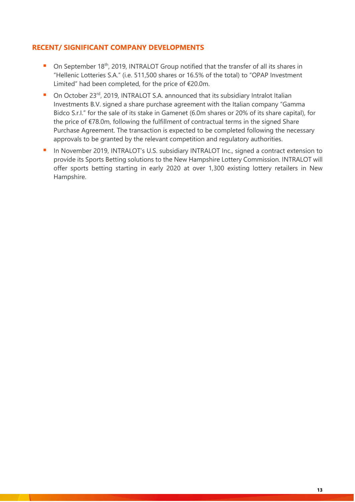# **RECENT/ SIGNIFICANT COMPANY DEVELOPMENTS**

- On September 18<sup>th</sup>, 2019, INTRALOT Group notified that the transfer of all its shares in "Hellenic Lotteries S.A." (i.e. 511,500 shares or 16.5% of the total) to "OPAP Investment Limited" had been completed, for the price of €20.0m.
- On October 23<sup>rd</sup>, 2019, INTRALOT S.A. announced that its subsidiary Intralot Italian Investments B.V. signed a share purchase agreement with the Italian company "Gamma Bidco S.r.I." for the sale of its stake in Gamenet (6.0m shares or 20% of its share capital), for the price of €78.0m, following the fulfillment of contractual terms in the signed Share Purchase Agreement. The transaction is expected to be completed following the necessary approvals to be granted by the relevant competition and regulatory authorities.
- In November 2019, INTRALOT's U.S. subsidiary INTRALOT Inc., signed a contract extension to provide its Sports Betting solutions to the New Hampshire Lottery Commission. INTRALOT will offer sports betting starting in early 2020 at over 1,300 existing lottery retailers in New Hampshire.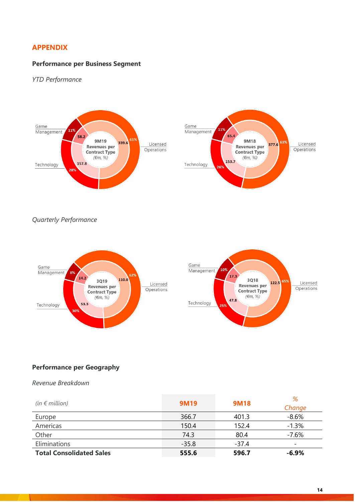# **APPENDIX**

#### **Performance per Business Segment**

*YTD Performance* 





*Quarterly Performance* 





#### **Performance per Geography**

*Revenue Breakdown*

| (in $\epsilon$ million)         | <b>9M19</b> | <b>9M18</b> | %<br>Change              |
|---------------------------------|-------------|-------------|--------------------------|
| Europe                          | 366.7       | 401.3       | $-8.6%$                  |
| Americas                        | 150.4       | 152.4       | $-1.3%$                  |
| Other                           | 74.3        | 80.4        | $-7.6%$                  |
| Eliminations                    | $-35.8$     | $-37.4$     | $\overline{\phantom{a}}$ |
| <b>Total Consolidated Sales</b> | 555.6       | 596.7       | $-6.9%$                  |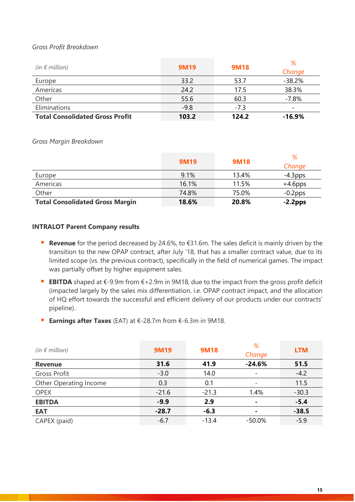# *Gross Profit Breakdown*

| (in $\notin$ million)                  | <b>9M19</b> | <b>9M18</b> | %<br>Change              |
|----------------------------------------|-------------|-------------|--------------------------|
| Europe                                 | 33.2        | 53.7        | $-38.2%$                 |
| Americas                               | 24.2        | 17.5        | 38.3%                    |
| Other                                  | 55.6        | 60.3        | $-7.8%$                  |
| Eliminations                           | $-9.8$      | $-7.3$      | $\overline{\phantom{0}}$ |
| <b>Total Consolidated Gross Profit</b> | 103.2       | 124.2       | $-16.9\%$                |

*Gross Margin Breakdown*

|                                        | <b>9M19</b> | <b>9M18</b> | %<br>Change |
|----------------------------------------|-------------|-------------|-------------|
| Europe                                 | 9.1%        | 13.4%       | $-4.3$ pps  |
| Americas                               | 16.1%       | 11.5%       | $+4.6$ pps  |
| Other                                  | 74.8%       | 75.0%       | $-0.2$ pps  |
| <b>Total Consolidated Gross Margin</b> | 18.6%       | 20.8%       | $-2.2$ pps  |

#### **INTRALOT Parent Company results**

- **Revenue** for the period decreased by 24.6%, to €31.6m. The sales deficit is mainly driven by the transition to the new OPAP contract, after July '18, that has a smaller contract value, due to its limited scope (vs. the previous contract), specifically in the field of numerical games. The impact was partially offset by higher equipment sales.
- **EBITDA** shaped at €-9.9m from €+2.9m in 9M18, due to the impact from the gross profit deficit (impacted largely by the sales mix differentiation, i.e. OPAP contract impact, and the allocation of HQ effort towards the successful and efficient delivery of our products under our contracts' pipeline).
- **Earnings after Taxes** (EAT) at €-28.7m from €-6.3m in 9M18.

| (in $\notin$ million)  | <b>9M19</b> | <b>9M18</b> | %<br>Change              | <b>LTM</b> |
|------------------------|-------------|-------------|--------------------------|------------|
| <b>Revenue</b>         | 31.6        | 41.9        | $-24.6%$                 | 51.5       |
| Gross Profit           | $-3.0$      | 14.0        | $\overline{\phantom{a}}$ | $-4.2$     |
| Other Operating Income | 0.3         | 0.1         |                          | 11.5       |
| <b>OPEX</b>            | $-21.6$     | $-21.3$     | 1.4%                     | $-30.3$    |
| <b>EBITDA</b>          | $-9.9$      | 2.9         | ۰                        | $-5.4$     |
| <b>EAT</b>             | $-28.7$     | $-6.3$      |                          | $-38.5$    |
| CAPEX (paid)           | $-6.7$      | $-13.4$     | $-50.0\%$                | $-5.9$     |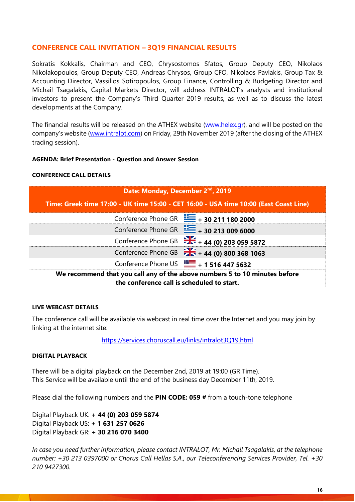# **CONFERENCE CALL INVITATION – 3Q19 FINANCIAL RESULTS**

Sokratis Kokkalis, Chairman and CEO, Chrysostomos Sfatos, Group Deputy CEO, Nikolaos Nikolakopoulos, Group Deputy CEO, Andreas Chrysos, Group CFO, Nikolaos Pavlakis, Group Tax & Accounting Director, Vassilios Sotiropoulos, Group Finance, Controlling & Budgeting Director and Michail Tsagalakis, Capital Markets Director, will address INTRALOT's analysts and institutional investors to present the Company's Third Quarter 2019 results, as well as to discuss the latest developments at the Company.

The financial results will be released on the ATHEX website [\(www.helex.gr\)](http://www.helex.gr/), and will be posted on the company's website ([www.intralot.com\)](http://www.intralot.com/) on Friday, 29th November 2019 (after the closing of the ATHEX trading session).

#### **AGENDA: Brief Presentation - Question and Answer Session**

#### **CONFERENCE CALL DETAILS**

| Date: Monday, December 2 <sup>nd</sup> , 2019                                                                            |                                                          |  |  |  |  |
|--------------------------------------------------------------------------------------------------------------------------|----------------------------------------------------------|--|--|--|--|
| Time: Greek time 17:00 - UK time 15:00 - CET 16:00 - USA time 10:00 (East Coast Line)                                    |                                                          |  |  |  |  |
|                                                                                                                          | Conference Phone GR $\equiv$ + 30 211 180 2000           |  |  |  |  |
|                                                                                                                          | Conference Phone GR $\equiv$ + 30 213 009 6000           |  |  |  |  |
|                                                                                                                          | Conference Phone GB 24 + 44 (0) 203 059 5872             |  |  |  |  |
|                                                                                                                          | Conference Phone GB $\frac{1}{26}$ + 44 (0) 800 368 1063 |  |  |  |  |
|                                                                                                                          | Conference Phone US $\boxed{}$ + 1 516 447 5632          |  |  |  |  |
| We recommend that you call any of the above numbers 5 to 10 minutes before<br>the conference call is scheduled to start. |                                                          |  |  |  |  |

#### **LIVE WEBCAST DETAILS**

The conference call will be available via webcast in real time over the Internet and you may join by linking at the internet site:

<https://services.choruscall.eu/links/intralot3Q19.html>

#### **DIGITAL PLAYBACK**

There will be a digital playback on the December 2nd, 2019 at 19:00 (GR Time). This Service will be available until the end of the business day December 11th, 2019.

Please dial the following numbers and the **PIN CODE: 059 #** from a touch-tone telephone

Digital Playback UK: **+ 44 (0) 203 059 5874** Digital Playback US: **+ 1 631 257 0626** Digital Playback GR: **+ 30 216 070 3400**

*In case you need further information, please contact INTRALOT, Mr. Michail Tsagalakis, at the telephone number: +30 213 0397000 or Chorus Call Hellas S.A., our Teleconferencing Services Provider, Tel. +30 210 9427300.*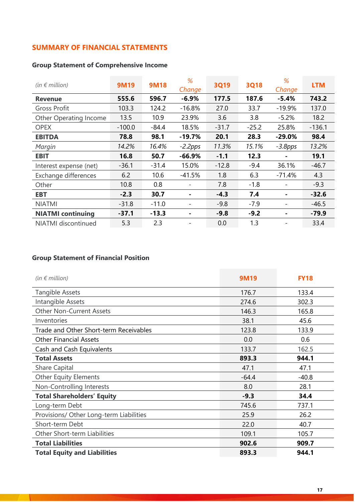# **SUMMARY OF FINANCIAL STATEMENTS**

# **Group Statement of Comprehensive Income**

| (in $\epsilon$ million)    | 9M19     | <b>9M18</b> | %<br>Change | <b>3Q19</b> | <b>3Q18</b> | %<br>Change | <b>LTM</b> |
|----------------------------|----------|-------------|-------------|-------------|-------------|-------------|------------|
| <b>Revenue</b>             | 555.6    | 596.7       | $-6.9%$     | 177.5       | 187.6       | $-5.4%$     | 743.2      |
| <b>Gross Profit</b>        | 103.3    | 124.2       | $-16.8%$    | 27.0        | 33.7        | $-19.9%$    | 137.0      |
| Other Operating Income     | 13.5     | 10.9        | 23.9%       | 3.6         | 3.8         | $-5.2%$     | 18.2       |
| <b>OPEX</b>                | $-100.0$ | $-84.4$     | 18.5%       | $-31.7$     | $-25.2$     | 25.8%       | $-136.1$   |
| <b>EBITDA</b>              | 78.8     | 98.1        | $-19.7%$    | 20.1        | 28.3        | $-29.0%$    | 98.4       |
| Margin                     | 14.2%    | 16.4%       | $-2.2$ pps  | 11.3%       | 15.1%       | $-3.8$ pps  | 13.2%      |
| <b>EBIT</b>                | 16.8     | 50.7        | $-66.9%$    | $-1.1$      | 12.3        |             | 19.1       |
| Interest expense (net)     | $-36.1$  | $-31.4$     | 15.0%       | $-12.8$     | $-9.4$      | 36.1%       | $-46.7$    |
| Exchange differences       | 6.2      | 10.6        | $-41.5%$    | 1.8         | 6.3         | $-71.4%$    | 4.3        |
| Other                      | 10.8     | 0.8         |             | 7.8         | $-1.8$      |             | $-9.3$     |
| <b>EBT</b>                 | $-2.3$   | 30.7        |             | $-4.3$      | 7.4         |             | $-32.6$    |
| <b>NIATMI</b>              | $-31.8$  | $-11.0$     |             | $-9.8$      | $-7.9$      |             | $-46.5$    |
| <b>NIATMI continuing</b>   | $-37.1$  | $-13.3$     |             | $-9.8$      | $-9.2$      |             | $-79.9$    |
| <b>NIATMI</b> discontinued | 5.3      | 2.3         |             | 0.0         | 1.3         |             | 33.4       |

# **Group Statement of Financial Position**

 $\mathcal{A}$ 

| (in $\notin$ million)                   | 9M19    | <b>FY18</b> |
|-----------------------------------------|---------|-------------|
| <b>Tangible Assets</b>                  | 176.7   | 133.4       |
| Intangible Assets                       | 274.6   | 302.3       |
| <b>Other Non-Current Assets</b>         | 146.3   | 165.8       |
| Inventories                             | 38.1    | 45.6        |
| Trade and Other Short-term Receivables  | 123.8   | 133.9       |
| <b>Other Financial Assets</b>           | 0.0     | 0.6         |
| Cash and Cash Equivalents               | 133.7   | 162.5       |
| <b>Total Assets</b>                     | 893.3   | 944.1       |
| <b>Share Capital</b>                    | 47.1    | 47.1        |
| <b>Other Equity Elements</b>            | $-64.4$ | $-40.8$     |
| Non-Controlling Interests               | 8.0     | 28.1        |
| <b>Total Shareholders' Equity</b>       | $-9.3$  | 34.4        |
| Long-term Debt                          | 745.6   | 737.1       |
| Provisions/ Other Long-term Liabilities | 25.9    | 26.2        |
| Short-term Debt                         | 22.0    | 40.7        |
| Other Short-term Liabilities            | 109.1   | 105.7       |
| <b>Total Liabilities</b>                | 902.6   | 909.7       |
| <b>Total Equity and Liabilities</b>     | 893.3   | 944.1       |